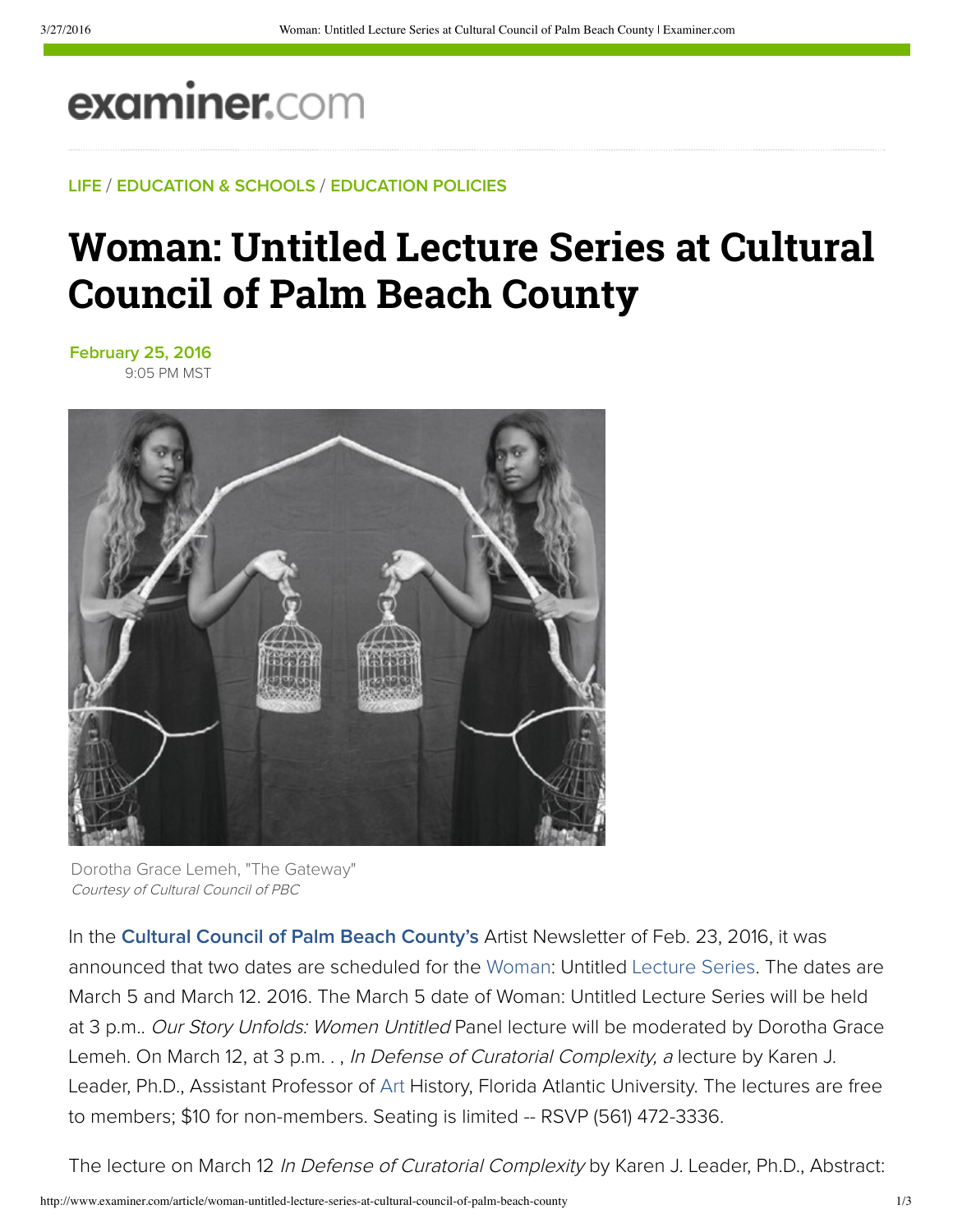## **examiner.com**

**LIFE** / **EDUCATION & SCHOOLS** / **EDUCATION POLICIES**

## **Woman: Untitled Lecture Series at Cultural Council of Palm Beach County**

**February 25, 2016** 9:05 PM MST



Dorotha Grace Lemeh, "The Gateway" Courtesy of Cultural Council of PBC

In the **Cultural Council of Palm Beach County's** Artist Newsletter of Feb. 23, 2016, it was announced that two dates are scheduled for the Woman: Untitled Lecture Series. The dates are March 5 and March 12. 2016. The March 5 date of Woman: Untitled Lecture Series will be held at 3 p.m.. Our Story Unfolds: Women Untitled Panel lecture will be moderated by Dorotha Grace Lemeh. On March 12, at 3 p.m., In Defense of Curatorial Complexity, a lecture by Karen J. Leader, Ph.D., Assistant Professor of Art History, Florida Atlantic University. The lectures are free to members; \$10 for non-members. Seating is limited -- RSVP (561) 472-3336.

The lecture on March 12 In Defense of Curatorial Complexity by Karen J. Leader, Ph.D., Abstract: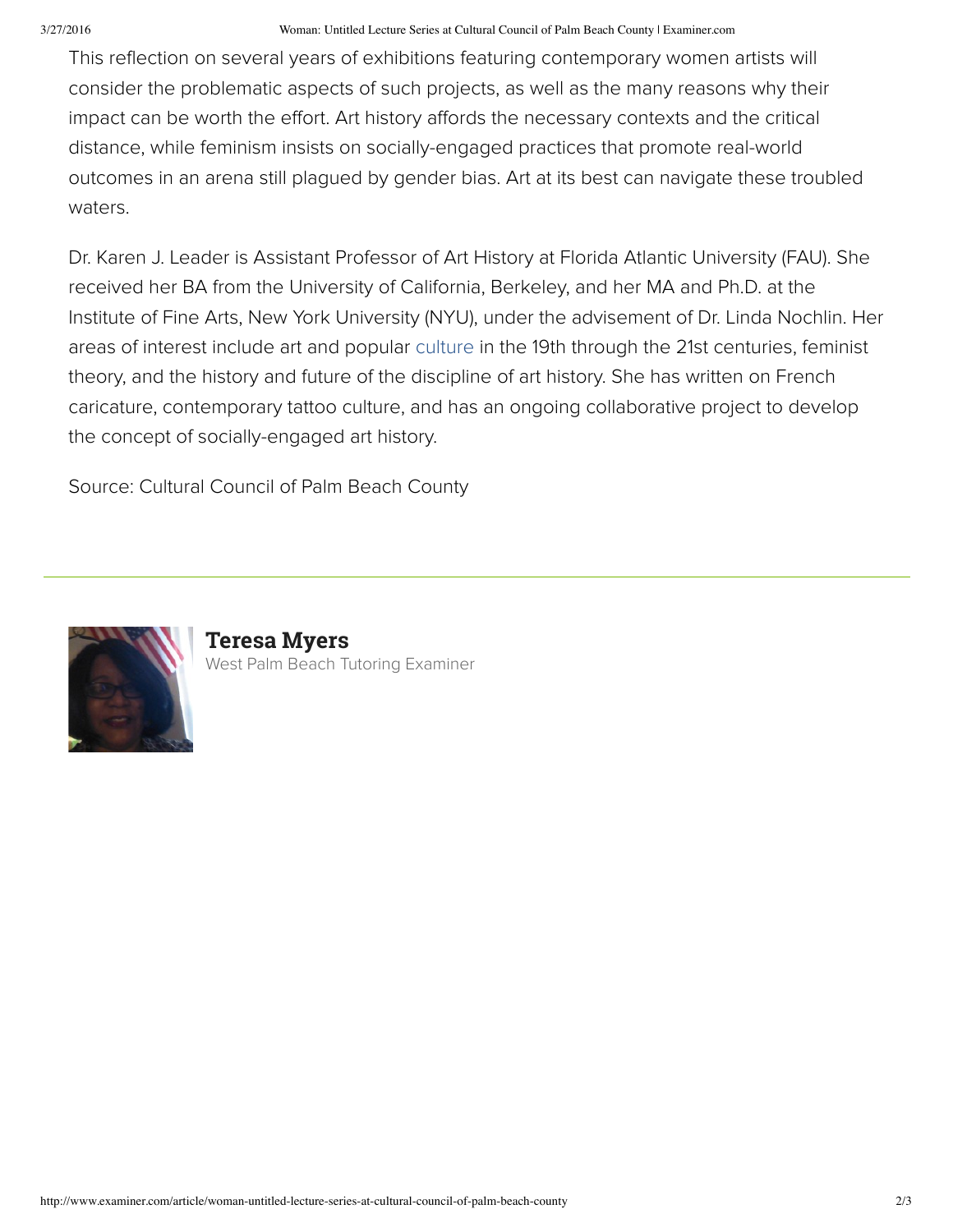This reflection on several years of exhibitions featuring contemporary women artists will consider the problematic aspects of such projects, as well as the many reasons why their impact can be worth the effort. Art history affords the necessary contexts and the critical distance, while feminism insists on socially-engaged practices that promote real-world outcomes in an arena still plagued by gender bias. Art at its best can navigate these troubled waters.

Dr. Karen J. Leader is Assistant Professor of Art History at Florida Atlantic University (FAU). She received her BA from the University of California, Berkeley, and her MA and Ph.D. at the Institute of Fine Arts, New York University (NYU), under the advisement of Dr. Linda Nochlin. Her areas of interest include art and popular culture in the 19th through the 21st centuries, feminist theory, and the history and future of the discipline of art history. She has written on French caricature, contemporary tattoo culture, and has an ongoing collaborative project to develop the concept of socially-engaged art history.

Source: Cultural Council of Palm Beach County



**Teresa Myers** West Palm Beach Tutoring Examiner